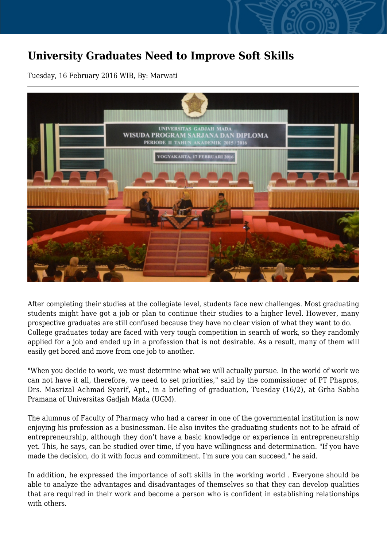## **University Graduates Need to Improve Soft Skills**

Tuesday, 16 February 2016 WIB, By: Marwati



After completing their studies at the collegiate level, students face new challenges. Most graduating students might have got a job or plan to continue their studies to a higher level. However, many prospective graduates are still confused because they have no clear vision of what they want to do. College graduates today are faced with very tough competition in search of work, so they randomly applied for a job and ended up in a profession that is not desirable. As a result, many of them will easily get bored and move from one job to another.

"When you decide to work, we must determine what we will actually pursue. In the world of work we can not have it all, therefore, we need to set priorities," said by the commissioner of PT Phapros, Drs. Masrizal Achmad Syarif, Apt., in a briefing of graduation, Tuesday (16/2), at Grha Sabha Pramana of Universitas Gadjah Mada (UGM).

The alumnus of Faculty of Pharmacy who had a career in one of the governmental institution is now enjoying his profession as a businessman. He also invites the graduating students not to be afraid of entrepreneurship, although they don't have a basic knowledge or experience in entrepreneurship yet. This, he says, can be studied over time, if you have willingness and determination. "If you have made the decision, do it with focus and commitment. I'm sure you can succeed," he said.

In addition, he expressed the importance of soft skills in the working world . Everyone should be able to analyze the advantages and disadvantages of themselves so that they can develop qualities that are required in their work and become a person who is confident in establishing relationships with others.